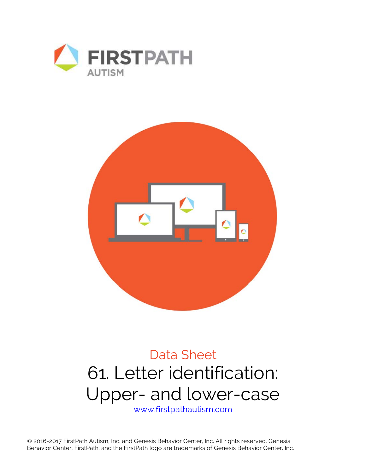



# Data Sheet 61. Letter identification: Upper- and lower-case

www.firstpathautism.com

© 2016-2017 FirstPath Autism, Inc. and Genesis Behavior Center, Inc. All rights reserved. Genesis Behavior Center, FirstPath, and the FirstPath logo are trademarks of Genesis Behavior Center, Inc.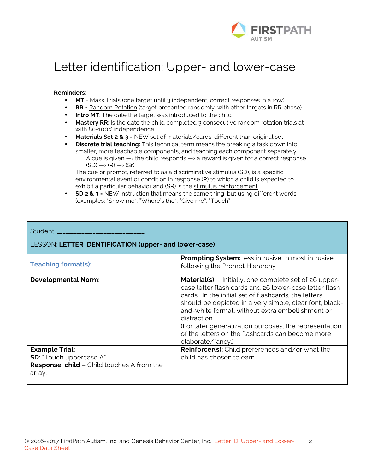

## Letter identification: Upper- and lower-case

#### **Reminders:**

- **MT** = Mass Trials (one target until 3 independent, correct responses in a row)
- **RR** = Random Rotation (target presented randomly, with other targets in RR phase)
- **Intro MT**: The date the target was introduced to the child
- **Mastery RR**: Is the date the child completed 3 consecutive random rotation trials at with 80-100% independence.
- **Materials Set 2 & 3** = NEW set of materials/cards, different than original set
- **Discrete trial teaching:** This technical term means the breaking a task down into smaller, more teachable components, and teaching each component separately. A cue is given  $\rightarrow$  the child responds  $\rightarrow$  a reward is given for a correct response  $(SD) \longrightarrow (R) \longrightarrow (Sr)$

The cue or prompt, referred to as a discriminative stimulus (SD), is a specific environmental event or condition in response (R) to which a child is expected to exhibit a particular behavior and (SR) is the stimulus reinforcement.

• **SD 2 & 3** = NEW instruction that means the same thing, but using different words (examples: "Show me", "Where's the", "Give me", "Touch"

#### Student: \_\_

### LESSON: **LETTER IDENTIFICATION (upper- and lower-case)**

| <b>Teaching format(s):</b>                                                                                             | <b>Prompting System:</b> less intrusive to most intrusive<br>following the Prompt Hierarchy                                                                                                                                                                                                                                                                                                                                                      |  |  |  |  |
|------------------------------------------------------------------------------------------------------------------------|--------------------------------------------------------------------------------------------------------------------------------------------------------------------------------------------------------------------------------------------------------------------------------------------------------------------------------------------------------------------------------------------------------------------------------------------------|--|--|--|--|
| <b>Developmental Norm:</b>                                                                                             | <b>Material(s):</b> Initially, one complete set of 26 upper-<br>case letter flash cards and 26 lower-case letter flash<br>cards. In the initial set of flashcards, the letters<br>should be depicted in a very simple, clear font, black-<br>and-white format, without extra embellishment or<br>distraction.<br>(For later generalization purposes, the representation<br>of the letters on the flashcards can become more<br>elaborate/fancy.) |  |  |  |  |
| <b>Example Trial:</b><br><b>SD:</b> "Touch uppercase A"<br><b>Response: child - Child touches A from the</b><br>array. | <b>Reinforcer(s):</b> Child preferences and/or what the<br>child has chosen to earn.                                                                                                                                                                                                                                                                                                                                                             |  |  |  |  |